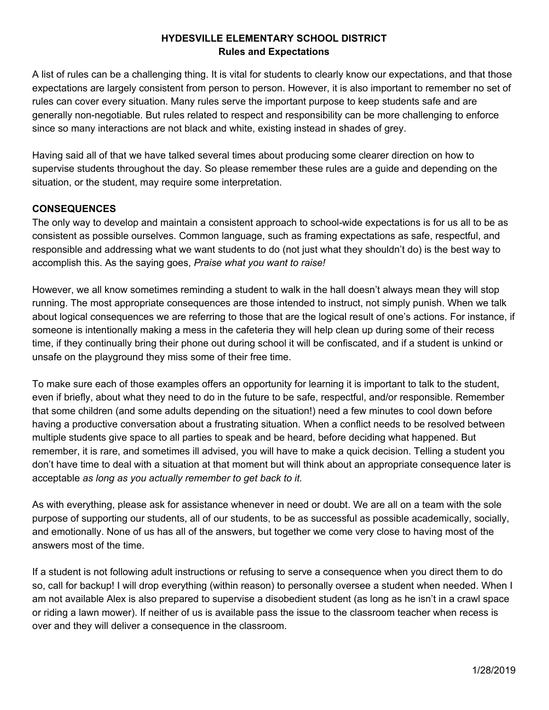# **HYDESVILLE ELEMENTARY SCHOOL DISTRICT Rules and Expectations**

A list of rules can be a challenging thing. It is vital for students to clearly know our expectations, and that those expectations are largely consistent from person to person. However, it is also important to remember no set of rules can cover every situation. Many rules serve the important purpose to keep students safe and are generally non-negotiable. But rules related to respect and responsibility can be more challenging to enforce since so many interactions are not black and white, existing instead in shades of grey.

Having said all of that we have talked several times about producing some clearer direction on how to supervise students throughout the day. So please remember these rules are a guide and depending on the situation, or the student, may require some interpretation.

## **CONSEQUENCES**

The only way to develop and maintain a consistent approach to school-wide expectations is for us all to be as consistent as possible ourselves. Common language, such as framing expectations as safe, respectful, and responsible and addressing what we want students to do (not just what they shouldn't do) is the best way to accomplish this. As the saying goes, *Praise what you want to raise!*

However, we all know sometimes reminding a student to walk in the hall doesn't always mean they will stop running. The most appropriate consequences are those intended to instruct, not simply punish. When we talk about logical consequences we are referring to those that are the logical result of one's actions. For instance, if someone is intentionally making a mess in the cafeteria they will help clean up during some of their recess time, if they continually bring their phone out during school it will be confiscated, and if a student is unkind or unsafe on the playground they miss some of their free time.

To make sure each of those examples offers an opportunity for learning it is important to talk to the student, even if briefly, about what they need to do in the future to be safe, respectful, and/or responsible. Remember that some children (and some adults depending on the situation!) need a few minutes to cool down before having a productive conversation about a frustrating situation. When a conflict needs to be resolved between multiple students give space to all parties to speak and be heard, before deciding what happened. But remember, it is rare, and sometimes ill advised, you will have to make a quick decision. Telling a student you don't have time to deal with a situation at that moment but will think about an appropriate consequence later is acceptable *as long as you actually remember to get back to it.*

As with everything, please ask for assistance whenever in need or doubt. We are all on a team with the sole purpose of supporting our students, all of our students, to be as successful as possible academically, socially, and emotionally. None of us has all of the answers, but together we come very close to having most of the answers most of the time.

If a student is not following adult instructions or refusing to serve a consequence when you direct them to do so, call for backup! I will drop everything (within reason) to personally oversee a student when needed. When I am not available Alex is also prepared to supervise a disobedient student (as long as he isn't in a crawl space or riding a lawn mower). If neither of us is available pass the issue to the classroom teacher when recess is over and they will deliver a consequence in the classroom.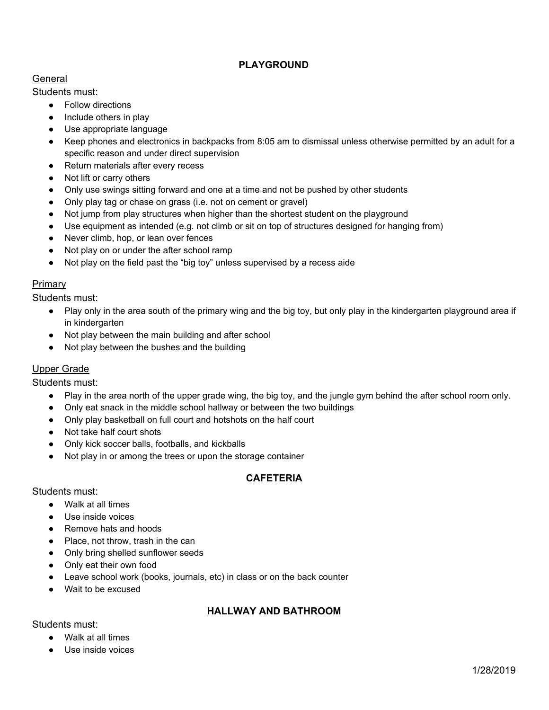# **PLAYGROUND**

### General

Students must:

- Follow directions
- Include others in play
- Use appropriate language
- Keep phones and electronics in backpacks from 8:05 am to dismissal unless otherwise permitted by an adult for a specific reason and under direct supervision
- Return materials after every recess
- Not lift or carry others
- Only use swings sitting forward and one at a time and not be pushed by other students
- Only play tag or chase on grass (i.e. not on cement or gravel)
- Not jump from play structures when higher than the shortest student on the playground
- Use equipment as intended (e.g. not climb or sit on top of structures designed for hanging from)
- Never climb, hop, or lean over fences
- Not play on or under the after school ramp
- Not play on the field past the "big toy" unless supervised by a recess aide

#### **Primary**

Students must:

- Play only in the area south of the primary wing and the big toy, but only play in the kindergarten playground area if in kindergarten
- Not play between the main building and after school
- Not play between the bushes and the building

### Upper Grade

Students must:

- Play in the area north of the upper grade wing, the big toy, and the jungle gym behind the after school room only.
- Only eat snack in the middle school hallway or between the two buildings
- Only play basketball on full court and hotshots on the half court
- Not take half court shots
- Only kick soccer balls, footballs, and kickballs
- Not play in or among the trees or upon the storage container

### **CAFETERIA**

#### Students must:

- Walk at all times
- Use inside voices
- Remove hats and hoods
- Place, not throw, trash in the can
- Only bring shelled sunflower seeds
- Only eat their own food
- Leave school work (books, journals, etc) in class or on the back counter
- Wait to be excused

## **HALLWAY AND BATHROOM**

Students must:

- Walk at all times
- Use inside voices